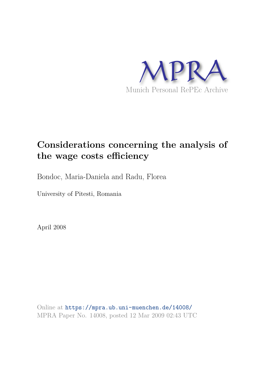

# **Considerations concerning the analysis of the wage costs efficiency**

Bondoc, Maria-Daniela and Radu, Florea

University of Pitesti, Romania

April 2008

Online at https://mpra.ub.uni-muenchen.de/14008/ MPRA Paper No. 14008, posted 12 Mar 2009 02:43 UTC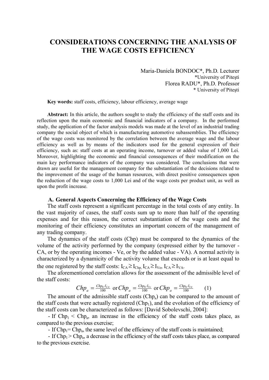## **CONSIDERATIONS CONCERNING THE ANALYSIS OF THE WAGE COSTS EFFICIENCY**

Maria-Daniela BONDOC\*, Ph.D. Lecturer \*University of Piteşti Florea RADU\*, Ph.D. Professor \* University of Piteşti

**Key words:** staff costs, efficiency, labour efficiency, average wage

**Abstract:** In this article, the authors sought to study the efficiency of the staff costs and its reflection upon the main economic and financial indicators of a company. In the performed study, the application of the factor analysis models was made at the level of an industrial trading company the social object of which is manufacturing automotive subassemblies. The efficiency of the wage costs was monitored by the correlation between the average wage and the labour efficiency as well as by means of the indicators used for the general expression of their efficiency, such as: staff costs at an operating income, turnover or added value of 1,000 Lei. Moreover, highlighting the economic and financial consequences of their modification on the main key performance indicators of the company was considered. The conclusions that were drawn are useful for the management company for the substantiation of the decisions related to the improvement of the usage of the human resources, with direct positive consequences upon the reduction of the wage costs to 1,000 Lei and of the wage costs per product unit, as well as upon the profit increase.

#### **A. General Aspects Concerning the Efficiency of the Wage Costs**

The staff costs represent a significant percentage in the total costs of any entity. In the vast majority of cases, the staff costs sum up to more than half of the operating expenses and for this reason, the correct substantiation of the wage costs and the monitoring of their efficiency constitutes an important concern of the management of any trading company.

The dynamics of the staff costs (Chp) must be compared to the dynamics of the volume of the activity performed by the company (expressed either by the turnover - CA, or by the operating incomes - Ve, or by the added value - VA). A normal activity is characterized by a dynamicity of the activity volume that exceeds or is at least equal to the one registered by the staff costs:  $I_{CA} \ge I_{Chp}$ ,  $I_{CA} \ge I_{Ve}$ ,  $I_{CA} \ge I_{VA}$ .

The aforementioned correlation allows for the assessment of the admissible level of the staff costs:

$$
Chp_a = \frac{Chp_0 \cdot I_{C4}}{100} \text{ or } Chp_a = \frac{Chp_0 \cdot I_{Ve}}{100} \text{ or } Chp_a = \frac{Chp_0 \cdot I_{VA}}{100} \tag{1}
$$

The amount of the admissible staff costs  $(Chp<sub>a</sub>)$  can be compared to the amount of the staff costs that were actually registered  $(Chp<sub>1</sub>)$ , and the evolution of the efficiency of the staff costs can be characterized as follows: [David Sobolevschi, 2004]:

- If  $Chp_1 < Chp_a$ , an increase in the efficiency of the staff costs takes place, as compared to the previous exercise;

- If  $Chp_1=Chp_a$ , the same level of the efficiency of the staff costs is maintained;

- If  $Chp_1$  >  $Chp_a$ , a decrease in the efficiency of the staff costs takes place, as compared to the previous exercise.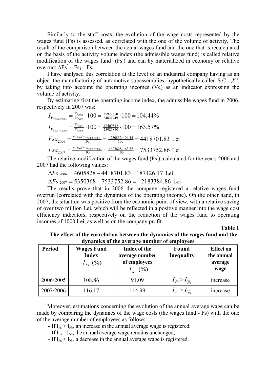Similarly to the staff costs, the evolution of the wage costs represented by the wages fund (Fs) is assessed, as correlated with the one of the volume of activity. The result of the comparison between the actual wages fund and the one that is recalculated on the basis of the activity volume index (the admissible wages fund) is called relative modification of the wages fund (Fs' ) and can by materialized in economy or relative overrun:  $\Delta \text{Fs} = \text{Fs}_1 - \text{Fs}_a$ .

I have analysed this correlation at the level of an industrial company having as an object the manufacturing of automotive subassemblies, hypothetically called S.C.  $\mathcal{X}$ ", by taking into account the operating incomes (Ve) as an indicator expressing the volume of activity.

By estimating first the operating income index, the admissible wages fund in 2006, respectively in 2007 was:

$$
I_{V_{e_{2006/2005}}} = \frac{V_{e_{2005}}}{V_{e_{2005}}} \cdot 100 = \frac{25927850}{24824949} \cdot 100 = 104.44\%
$$
  
\n
$$
I_{V_{e_{2007/2006}}} = \frac{V_{e_{2007}}}{V_{e_{2006}}} \cdot 100 = \frac{42409812}{25927850} \cdot 100 = 163.57\%
$$
  
\n
$$
Fsa_{2006} = \frac{F_{s_{2005} \times I_{V_{e_{2006/2004}}}}{100} = \frac{4230852 \times 104.44}{100} = 4418701.83
$$
 Lei  
\n
$$
Fsa_{2007} = \frac{F_{s_{2006} \times I_{V_{e_{2007/2006}}}}{100} = \frac{4605828 \times 163.57}{100} = 7533752.86
$$
 Lei

The relative modification of the wages fund (Fs' ), calculated for the years 2006 and 2007 had the following values:

 $\Delta F_s$ <sup>2006</sup> = 4605828 – 4418701.83 = 187126.17 Lei

 $\Delta Fs'_{2007} = 5350368 - 7533752.86 = -2183384.86$  Lei

The results prove that in 2006 the company registered a relative wages fund overrun (correlated with the dynamics of the operating income). On the other hand, in 2007, the situation was positive from the economic point of view, with a relative saving of over two million Lei, which will be reflected in a positive manner into the wage cost efficiency indicators, respectively on the reduction of the wages fund to operating incomes of 1000 Lei, as well as on the company profit.

**Table 1**

**The effect of the correlation between the dynamics of the wages fund and the dynamics of the average number of employees** 

| <b>Period</b> | <b>Wages Fund</b><br><b>Index</b><br>$I_{F_8}$ (%) | <b>Index of the</b><br>average number<br>of employees<br>$I_{\overline{N_{\mathbf{S}}}}$ (%) | Found<br>Inequality          | <b>Effect on</b><br>the annual<br>average<br>wage |
|---------------|----------------------------------------------------|----------------------------------------------------------------------------------------------|------------------------------|---------------------------------------------------|
| 2006/2005     | 108.86                                             | 91.09                                                                                        | $I_{Fs} > I_{\overline{Ns}}$ | <i>ncrease</i>                                    |
| 2007/2006     | 116.17                                             | 114.99                                                                                       | $I_{Fs} > I_{\overline{Ns}}$ | <i>ncrease</i>                                    |

Moreover, estimations concerning the evolution of the annual average wage can be made by comparing the dynamics of the wage costs (the wages fund - Fs) with the one of the average number of employees as follows: :

- If  $I_{Fs} > I_{Ns}$ , an increase in the annual average wage is registered;

- If  $I_{Fs} = I_{Ns}$ , the annual average wage remains unchanged;

- If  $I_{Fs} < I_{Ns}$ , a decrease in the annual average wage is registered.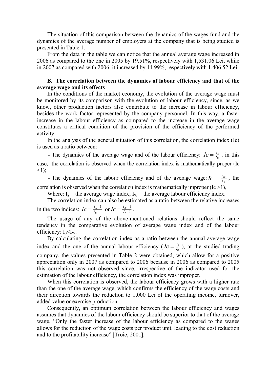The situation of this comparison between the dynamics of the wages fund and the dynamics of the average number of employers at the company that is being studied is presented in Table 1.

From the data in the table we can notice that the annual average wage increased in 2006 as compared to the one in 2005 by 19.51%, respectively with 1,531.06 Lei, while in 2007 as compared with 2006, it increased by 14.99%, respectively with 1,406.52 Lei.

### **B. The correlation between the dynamics of labour efficiency and that of the average wage and its effects**

In the conditions of the market economy, the evolution of the average wage must be monitored by its comparison with the evolution of labour efficiency, since, as we know, other production factors also contribute to the increase in labour efficiency, besides the work factor represented by the company personnel. In this way, a faster increase in the labour efficiency as compared to the increase in the average wage constitutes a critical condition of the provision of the efficiency of the performed activity.

In the analysis of the general situation of this correlation, the correlation index (Ic) is used as a ratio between:

- The dynamics of the average wage and of the labour efficiency:  $I_c = \frac{I_s}{I_w}$  $\frac{I_S}{I_W}$  $I_c = \frac{I_s}{I_w}$ , in this case, the correlation is observed when the correlation index is mathematically proper (Ic  $\leq$ 1);

- The dynamics of the labour efficiency and of the average wage:  $I_c = \frac{I_B}{I_S}$  $\frac{W}{I_S}$  $I_c = \frac{I_w}{I_c}$ , the correlation is observed when the correlation index is mathematically improper  $(Ic > 1)$ ,

Where:  $I_s$  – the average wage index;  $I_w$  – the average labour efficiency index.

The correlation index can also be estimated as a ratio between the relative increases in the two indices:  $I_c = \frac{I_s - 1}{I_w - 1}$ - $=\frac{I_{S}-I_{W}}{I_{W}-I_{W}}$  $\frac{I}{I_{W}}$  $Ic = \frac{I_s - 1}{I_w - 1}$  or  $Ic = \frac{I_w - 1}{I_s - 1}$  $\overline{\phantom{0}}$  $=\frac{I_W - I_S - I_S - I_S}{I_S - I_S}$  $\frac{I_W}{I_S}$  $I_c = \frac{I_w - 1}{I_w - 1}$ .

The usage of any of the above-mentioned relations should reflect the same tendency in the comparative evolution of average wage index and of the labour efficiency:  $I_s \leq I_w$ .

By calculating the correlation index as a ratio between the annual average wage index and the one of the annual labour efficiency ( $I_c = \frac{I_s}{I_w}$  $\frac{I_S}{I_W}$  $I_c = \frac{I_s}{I_w}$ , at the studied trading company, the values presented in Table 2 were obtained, which allow for a positive appreciation only in 2007 as compared to 2006 because in 2006 as compared to 2005 this correlation was not observed since, irrespective of the indicator used for the estimation of the labour efficiency, the correlation index was improper.

When this correlation is observed, the labour efficiency grows with a higher rate than the one of the average wage, which confirms the efficiency of the wage costs and their direction towards the reduction to 1,000 Lei of the operating income, turnover, added value or exercise production.

Consequently, an optimum correlation between the labour efficiency and wages assumes that dynamics of the labour efficiency should be superior to that of the average wage. "Only the faster increase of the labour efficiency as compared to the wages allows for the reduction of the wage costs per product unit, leading to the cost reduction and to the profitability increase" [Troie, 2001].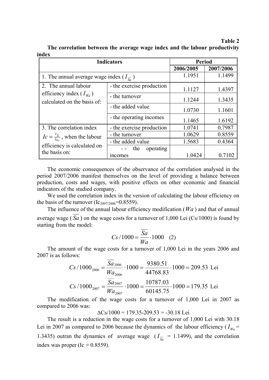#### **Table 2**

| <b>Indicators</b>                                                   |                                    | <b>Period</b> |           |  |
|---------------------------------------------------------------------|------------------------------------|---------------|-----------|--|
|                                                                     |                                    | 2006/2005     | 2007/2006 |  |
| 1. The annual average wage index $(I_{\overline{s}_a})$             |                                    | 1.1951        | 1.1499    |  |
| 2. The annual labour                                                | - the exercise production          | 1.1127        | 1.4397    |  |
| efficiency index $(I_{W_a})$<br>calculated on the basis of:         | - the turnover                     | 1.1244        | 1.3435    |  |
|                                                                     | - the added value                  | 1.0730        | 1.1601    |  |
|                                                                     | - the operating incomes            | 1.1465        | 1.6192    |  |
| 3. The correlation index                                            | - the exercise production          | 1.0741        | 0.7987    |  |
| $I_c = \frac{I_{\overline{sa}}}{I_{\overline{u}}},$ when the labour | - the turnover                     | 1.0629        | 0.8559    |  |
|                                                                     | - the added value                  | 1.5683        | 0.4364    |  |
| efficiency is calculated on<br>the basis on:                        | the<br>operating<br><i>n</i> comes | 1.0424        | 0.7102    |  |

**The correlation between the average wage index and the labour productivity index** 

The economic consequences of the observance of the correlation analysed in the period 2007/2006 manifest themselves on the level of providing a balance between production, costs and wages, with positive effects on other economic and financial indicators of the studied company.

We used the correlation index in the version of calculating the labour efficiency on the basis of the turnover ( $Ic_{2007/2006}$ =0.8559).

The influence of the annual labour efficiency modification (*Wa* ) and that of annual average wage ( $Sa$ ) on the wage costs for a turnover of 1,000 Lei  $(Cs/1000)$  is found by starting from the model:

$$
Cs / 1000 = \frac{\overline{Sa}}{Wa} \cdot 1000 \quad (2)
$$

The amount of the wage costs for a turnover of 1,000 Lei in the years 2006 and 2007 is as follows:

$$
Cs / 1000_{2006} = \frac{Sa_{2006}}{Wa_{2006}} \cdot 1000 = \frac{9380.51}{44768.83} \cdot 1000 = 209.53
$$
 Lei  

$$
Cs / 1000_{2007} = \frac{\overline{Sa_{2007}}}{Wa_{2007}} \cdot 1000 = \frac{10787.03}{60145.75} \cdot 1000 = 179.35
$$
 Lei

The modification of the wage costs for a turnover of 1,000 Lei in 2007 as compared to 2006 was:

 $\Delta$ Cs/1000 = 179.35-209.53 = -30.18 Lei

The result is a reduction in the wage costs for a turnover of 1,000 Lei with 30.18 Lei in 2007 as compared to 2006 because the dynamics of the labour efficiency ( $I_{W_a}$  = 1.3435) outran the dynamics of average wage  $(I_{\overline{S}} = 1.1499)$ , and the correlation index was proper (Ic =  $0.8559$ ).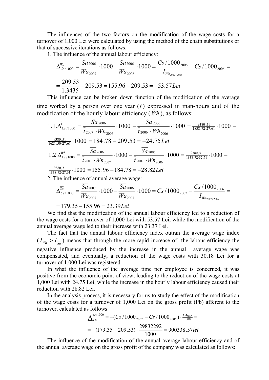The influences of the two factors on the modification of the wage costs for a turnover of 1,000 Lei were calculated by using the method of the chain substitutions or that of successive iterations as follows:

1. The influence of the annual labour efficiency:

$$
\Delta_{Cs/1000}^{Wa} = \frac{Sa_{2006}}{Wa_{2007}} \cdot 1000 - \frac{Sa_{2006}}{Wa_{2006}} \cdot 1000 = \frac{Cs/1000_{2006}}{I_{Wa_{2007/2006}}} - Cs/1000_{2006} =
$$
  
= 
$$
\frac{209.53}{1.3435} - 209.53 = 155.96 - 209.53 = -53.57
$$
Lei

This influence can be broken down function of the modification of the average time worked by a person over one year  $(t)$  expressed in man-hours and of the modification of the hourly labour efficiency (*Wh* ), as follows:

$$
1.1.\Delta_{Cs/1000}^{\overline{t}} = \frac{Sa_{2006}}{\overline{t}_{2007} \cdot Wh_{2006}} \cdot 1000 - \frac{Sa_{2006}}{\overline{t}_{2006} \cdot Wh_{2006}} \cdot 1000 = \frac{9380.51}{1838.72 \cdot 27.61} \cdot 1000 - \frac{9380.51}{1621.50 \cdot 27.61} \cdot 1000 = 184.78 - 209.53 = -24.75
$$
 *Lei*\n
$$
1.2.\Delta_{Cs/1000}^{Wh} = \frac{\overline{Sa}_{2006}}{\overline{t}_{2007} \cdot Wh_{2007}} \cdot 1000 - \frac{\overline{Sa}_{2006}}{\overline{t}_{2007} \cdot Wh_{2006}} \cdot 1000 = \frac{9380.51}{1838.72 \cdot 32.71} \cdot 1000 - \frac{9380.51}{1838.72 \cdot 27.61} \cdot 1000 = 155.96 - 184.78 = -28.82
$$
 *Lei*

2. The influence of annual average wage:

$$
\Delta_{Cs/1000}^{\overline{Sa}} = \frac{Sa_{2007}}{Wa_{2007}} \cdot 1000 - \frac{Sa_{2006}}{Wa_{2007}} \cdot 1000 = Cs/1000_{2007} - \frac{Cs/1000_{2006}}{I_{Wa_{2007/2006}}} =
$$

$$
=179.35-155.96=23.39
$$
Lei

We find that the modification of the annual labour efficiency led to a reduction of the wage costs for a turnover of 1,000 Lei with 53.57 Lei, while the modification of the annual average wage led to their increase with 23.37 Lei.

The fact that the annual labour efficiency index outran the average wage index  $(I_{Wa} > I_{\overline{Sa}})$  means that through the more rapid increase of the labour efficiency the negative influence produced by the increase in the annual average wage was compensated, and eventually, a reduction of the wage costs with 30.18 Lei for a turnover of 1,000 Lei was registered.

In what the influence of the average time per employee is concerned, it was positive from the economic point of view, leading to the reduction of the wage costs at 1,000 Lei with 24.75 Lei, while the increase in the hourly labour efficiency caused their reduction with 28.82 Lei.

In the analysis process, it is necessary for us to study the effect of the modification of the wage costs for a turnover of 1,000 Lei on the gross profit (Pb) afferent to the turnover, calculated as follows:

$$
\Delta_{Pb}^{cs/1000} = -(Cs/1000_{2007} - Cs/1000_{2006}) \cdot \frac{C A_{2007}}{1000} =
$$
  
= -(179.35 - 209.53) \cdot  $\frac{29832292}{1000} = 900338.571ei$ 

The influence of the modification of the annual average labour efficiency and of the annual average wage on the gross profit of the company was calculated as follows: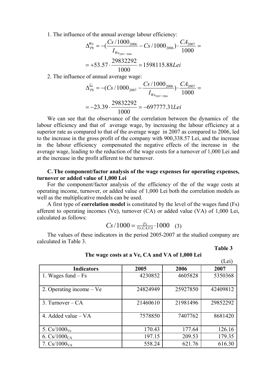1. The influence of the annual average labour efficiency:

$$
\Delta_{Pb}^{Wa} = -\left(\frac{Cs/1000_{2006}}{I_{Wa_{2007/2006}}} - Cs/1000_{2006}\right) \cdot \frac{CA_{2007}}{1000} =
$$
  
= +53.57 \cdot  $\frac{29832292}{1000} = 1598115.88$ Lei

2. The influence of annual average wage:

$$
\Delta_{Pb}^{\overline{S}a} = -(Cs/1000_{2007} - \frac{Cs/1000_{2006}}{I_{W_{a_{2007/2006}}}}) \cdot \frac{CA_{2007}}{1000} =
$$
  
= -23.39.  $\frac{29832292}{1000} = -697777.31$ Lei

We can see that the observance of the correlation between the dynamics of the labour efficiency and that of average wage, by increasing the labour efficiency at a superior rate as compared to that of the average wage in 2007 as compared to 2006, led to the increase in the gross profit of the company with 900,338.57 Lei, and the increase in the labour efficiency compensated the negative effects of the increase in the average wage, leading to the reduction of the wage costs for a turnover of 1,000 Lei and at the increase in the profit afferent to the turnover.

#### **C. The component/factor analysis of the wage expenses for operating expenses, turnover or added value of 1,000 Lei**

For the component/factor analysis of the efficiency of the of the wage costs at operating income, turnover, or added value of 1,000 Lei both the correlation models as well as the multiplicative models can be used.

A first type of **correlation model** is constituted by the level of the wages fund (Fs) afferent to operating incomes (Ve), turnover (CA) or added value (VA) of 1,000 Lei, calculated as follows:

$$
Cs/1000 = \frac{F_s}{Ve, CA, VA} \cdot 1000 \quad (3)
$$

The values of these indicators in the period 2005-2007 at the studied company are calculated in Table 3.

**Table 3**

|                          |          |          | (Lei)    |
|--------------------------|----------|----------|----------|
| <b>Indicators</b>        | 2005     | 2006     | 2007     |
| 1. Wages fund $-Fs$      | 4230852  | 4605828  | 5350368  |
| 2. Operating income – Ve | 24824949 | 25927850 | 42409812 |
| 3. Turnover $-CA$        | 21460610 | 21981496 | 29852292 |
| 4. Added value $- VA$    | 7578850  | 7407762  | 8681420  |
| 5. $Cs/1000_{Ve}$        | 170.43   | 177.64   | 126.16   |
| 6. $Cs/1000_{CA}$        | 197.15   | 209.53   | 179.35   |
| 7. $Cs/1000_{VA}$        | 558.24   | 621.76   | 616.30   |

**The wage costs at a Ve, CA and VA of 1,000 Lei**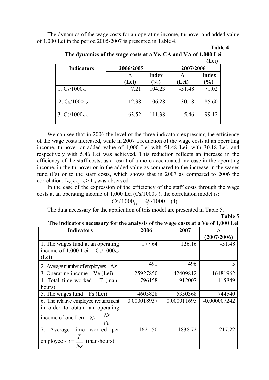The dynamics of the wage costs for an operating income, turnover and added value of 1,000 Lei in the period 2005-2007 is presented in Table 4.

|  | 21 | וח<br>Ш | ı |  |
|--|----|---------|---|--|
|--|----|---------|---|--|

**Table 5**

| The dynamics of the wage costs at a Ve, CA and VA of 1,000 Lei |  |  |       |
|----------------------------------------------------------------|--|--|-------|
|                                                                |  |  | (Lei) |

| <b>Indicators</b> | 2006/2005 |        | 2007/2006 |       |  |
|-------------------|-----------|--------|-----------|-------|--|
|                   |           | Index  |           | Index |  |
|                   | (Lei)     | $\%$   | (Lei)     | $\%$  |  |
| 1. $Cs/1000_{Ve}$ | 7.21      | 104.23 | $-51.48$  | 71.02 |  |
| 2. $Cs/1000_{CA}$ | 12.38     | 106.28 | $-30.18$  | 85.60 |  |
| 3. $Cs/1000_{VA}$ | 63.52     | 111.38 | $-5.46$   | 99.12 |  |

We can see that in 2006 the level of the three indicators expressing the efficiency of the wage costs increased, while in 2007 a reduction of the wage costs at an operating income, turnover or added value of 1,000 Lei with 51.48 Lei, with 30.18 Lei, and respectively with 5.46 Lei was achieved. This reduction reflects an increase in the efficiency of the staff costs, as a result of a more accentuated increase in the operating income, in the turnover or in the added value as compared to the increase in the wages fund (Fs) or to the staff costs, which shows that in 2007 as compared to 2006 the correlation:  $I_{Ve, VA, CA} > I_{Fs}$  was observed.

In the case of the expression of the efficiency of the staff costs through the wage costs at an operating income of 1,000 Lei  $(Cs/1000<sub>Ve</sub>)$ , the correlation model is:

$$
Cs / 1000_{V_e} = \frac{F_s}{V_e} \cdot 1000 \quad (4)
$$

The data necessary for the application of this model are presented in Table 5.

| The indicators necessary for the analysis of the wage costs at a Ve of 1,000 Lei |  |  |
|----------------------------------------------------------------------------------|--|--|
|                                                                                  |  |  |

| The multators necessary for the analysis of the wage costs at a ve or 1,000 Left |             |             |                |  |  |
|----------------------------------------------------------------------------------|-------------|-------------|----------------|--|--|
| <b>Indicators</b>                                                                | 2006        | 2007        |                |  |  |
|                                                                                  |             |             | (2007/2006)    |  |  |
| 1. The wages fund at an operating                                                | 177.64      | 126.16      | $-51.48$       |  |  |
| income of 1,000 Lei - $Cs/1000_{Ve}$                                             |             |             |                |  |  |
| (Lei)                                                                            |             |             |                |  |  |
| 2. Average number of employees - $Ns$                                            | 491         | 496         | 5              |  |  |
| 3. Operating income $-$ Ve (Lei)                                                 | 25927850    | 42409812    | 16481962       |  |  |
| 4. Total time worked $-$ T (man-                                                 | 796158      | 912007      | 115849         |  |  |
| hours)                                                                           |             |             |                |  |  |
| 5. The wages fund $-Fs$ (Lei)                                                    | 4605828     | 5350368     | 744540         |  |  |
| 6. The relative employee requirement                                             | 0.000018937 | 0.000011695 | $-0.000007242$ |  |  |
| in order to obtain an operating                                                  |             |             |                |  |  |
| income of one Leu - $Nr' = \frac{Ns}{r}$<br>Ve                                   |             |             |                |  |  |
| 7.<br>time worked per<br>Average                                                 | 1621.50     | 1838.72     | 217.22         |  |  |
|                                                                                  |             |             |                |  |  |
| employee - $t = \frac{1}{\sqrt{2}}$ (man-hours)                                  |             |             |                |  |  |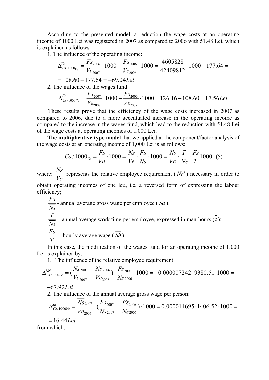According to the presented model, a reduction the wage costs at an operating income of 1000 Lei was registered in 2007 as compared to 2006 with 51.48 Lei, which is explained as follows:

1. The influence of the operating income:

$$
\Delta_{Cs/1000_{V_e}}^{Ve} = \frac{F_{S_{2006}}}{V_{e_{2007}}} \cdot 1000 - \frac{F_{S_{2006}}}{V_{e_{2006}}} \cdot 1000 = \frac{4605828}{42409812} \cdot 1000 - 177.64 =
$$

 $= 108.60 - 177.64 = -69.04$ 

2. The influence of the wages fund:

$$
\Delta_{Cs/1000V_e}^{Fs} = \frac{Fs_{2007}}{Ve_{2007}} \cdot 1000 - \frac{Fs_{2006}}{Ve_{2007}} \cdot 1000 = 126.16 - 108.60 = 17.56Lei
$$

These results prove that the efficiency of the wage costs increased in 2007 as compared to 2006, due to a more accentuated increase in the operating income as compared to the increase in the wages fund, which lead to the reduction with 51.48 Lei of the wage costs at operating incomes of 1,000 Lei.

**The multiplicative-type model** that we applied at the component/factor analysis of the wage costs at an operating income of 1,000 Lei is as follows:

$$
Cs / 1000_{V_e} = \frac{Fs}{Ve} \cdot 1000 = \frac{Ns}{Ve} \cdot \frac{Fs}{Ns} \cdot 1000 = \frac{Ns}{Ve} \cdot \frac{T}{Ns} \cdot \frac{Fs}{T} 1000 \quad (5)
$$

where: *Ve*  $\frac{Ns}{N}$  represents the relative employee requirement (*Nr'*) necessary in order to

obtain operating incomes of one leu, i.e. a reversed form of expressing the labour efficiency;

$$
\frac{Fs}{Ns}
$$
 - annual average gross wage per employee ( $\overline{Sa}$ );  
 $\frac{T}{Ns}$  - annual average work time per employee, expressed in man-hours ( $\overline{t}$ );  
 $Fs$ 

$$
\frac{Fs}{T}
$$
 - hourly average wage ( $\overline{Sh}$ ).

In this case, the modification of the wages fund for an operating income of 1,000 Lei is explained by:

1. The influence of the relative employee requirement:

$$
\Delta_{Cs/1000Ve}^{Nr'} = (\frac{Ns_{2007}}{Ve_{2007}} - \frac{Ns_{2006}}{Ve_{2006}}) \cdot \frac{Fs_{2006}}{Ns_{2006}} \cdot 1000 = -0.000007242 \cdot 9380.51 \cdot 1000 = 0.000007242 \cdot 9380.51 \cdot 1000 = 0.000007242 \cdot 9380.51 \cdot 1000 = 0.000007242 \cdot 9380.51 \cdot 1000 = 0.000007242 \cdot 9380.51 \cdot 1000 = 0.000007242 \cdot 9380.51 \cdot 1000 = 0.000007242 \cdot 9380.51 \cdot 1000 = 0.000007242 \cdot 9380.51 \cdot 1000 = 0.000007242 \cdot 9380.51 \cdot 1000 = 0.000007242 \cdot 9380.51 \cdot 1000 = 0.000007242 \cdot 9380.51 \cdot 1000 = 0.000007242 \cdot 9380.51 \cdot 1000 = 0.000007242 \cdot 9380.51 \cdot 1000 = 0.000007242 \cdot 9380.51 \cdot 1000 = 0.000007242 \cdot 9380.51 \cdot 1000 = 0.000007242 \cdot 9380.51 \cdot 1000 = 0.000007242 \cdot 9380.51 \cdot 1000 = 0.000007242 \cdot 9380.51 \cdot 1000 = 0.000007242 \cdot 9380.51 \cdot 1000 = 0.000007242 \cdot 9380.51 \cdot 1000 = 0.000007242 \cdot 9380.51 \cdot 1000 = 0.000007242 \cdot 9380.51 \cdot 1000 = 0.000007242 \cdot 9380
$$

$$
=-67.92Lei
$$

2. The influence of the annual average gross wage per person:

$$
\Delta_{Cs/1000V e}^{\overline{Sa}} = \frac{Ns_{2007}}{Ve_{2007}} \cdot (\frac{Fs_{2007}}{Ns_{2007}} - \frac{Fs_{2006}}{Ns_{2006}}) \cdot 1000 = 0.000011695 \cdot 1406.52 \cdot 1000 = 0.000011695 \cdot 1406.52 \cdot 1000
$$

 $= 16.44$ *Lei* from which: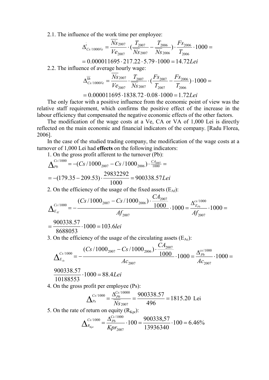2.1. The influence of the work time per employee:

$$
\overline{\Delta}_{Cs/1000Ve}^{t} = \frac{Ns_{2007}}{Ve_{2007}} \cdot (\frac{T_{2007}}{Ns_{2007}} - \frac{T_{2006}}{Ns_{2006}}) \cdot \frac{Fs_{2006}}{T_{2006}} \cdot 1000 =
$$

$$
= 0.000011695 \cdot 217.22 \cdot 5.79 \cdot 1000 = 14.72
$$
Lei

2.2. The influence of average hourly wage:

$$
\Delta_{Cs/1000V e}^{\overline{Sh}} = \frac{Ns_{2007}}{Ve_{2007}} \cdot \frac{T_{2007}}{\overline{Ns}_{2007}} \cdot (\frac{Fs_{2007}}{T_{2007}} - \frac{Fs_{2006}}{T_{2006}}) \cdot 1000 =
$$

 $= 0.000011695 \cdot 1838.72 \cdot 0.08 \cdot 1000 = 1.72$ Lei

The only factor with a positive influence from the economic point of view was the relative staff requirement, which confirms the positive effect of the increase in the labour efficiency that compensated the negative economic effects of the other factors.

The modification of the wage costs at a Ve, CA or VA of 1,000 Lei is directly reflected on the main economic and financial indicators of the company. [Radu Florea, 2006].

In the case of the studied trading company, the modification of the wage costs at a turnover of 1,000 Lei had **effects** on the following indicators:

1. On the gross profit afferent to the turnover (Pb):

$$
\Delta_{Pb}^{Cs/1000} = -(Cs/1000_{2007} - Cs/1000_{2006}) \cdot \frac{CA_{2007}}{1000} =
$$
  
= -(179.35 - 209.53) \cdot \frac{29832292}{1000} = 900338.57Lei

2. On the efficiency of the usage of the fixed assets  $(E_{\text{Af}})$ :

$$
\Delta_{E_{\mathcal{A}}}^{Cs/1000} = -\frac{(Cs/1000_{2007} - Cs/1000_{2006}) \cdot \frac{CA_{2007}}{1000}}{Af_{2007}} \cdot 1000 = \frac{\Delta_{E_{p_b}}^{cs/1000}}{Af_{2007}} \cdot 1000 =
$$

$$
=\frac{900338.57}{8688053}\cdot 1000=103.61
$$

3. On the efficiency of the usage of the circulating assets  $(E_{Ac})$ :

$$
\Delta_{E_{Ac}}^{Cs/1000} = -\frac{(Cs/1000_{2007} - Cs/1000_{2006}) \cdot \frac{CA_{2007}}{1000}}{Ac_{2007}} \cdot 1000 = \frac{\Delta_{Pb}^{cs/1000}}{Ac_{2007}} \cdot 1000 =
$$

 $1000 = 88.4$ *Lei* 10188553  $\frac{900338.57}{10000} \cdot 1000 =$ 

4. On the gross profit per employee (Ps):

$$
\Delta_{Ps}^{Cs/1000} = \frac{\Delta_{Pb}^{Cs/10000}}{Ns_{2007}} = \frac{900338.57}{496} = 1815.20
$$
 Lei

5. On the rate of return on equity  $(R<sub>Kpr</sub>)$ :

$$
\Delta_{R_{Kpr}}^{C_5/1000} = \frac{\Delta_{Pb}^{C_5/1000}}{Kpr_{2007}} \cdot 100 = \frac{900338,57}{13936340} \cdot 100 = 6.46\%
$$